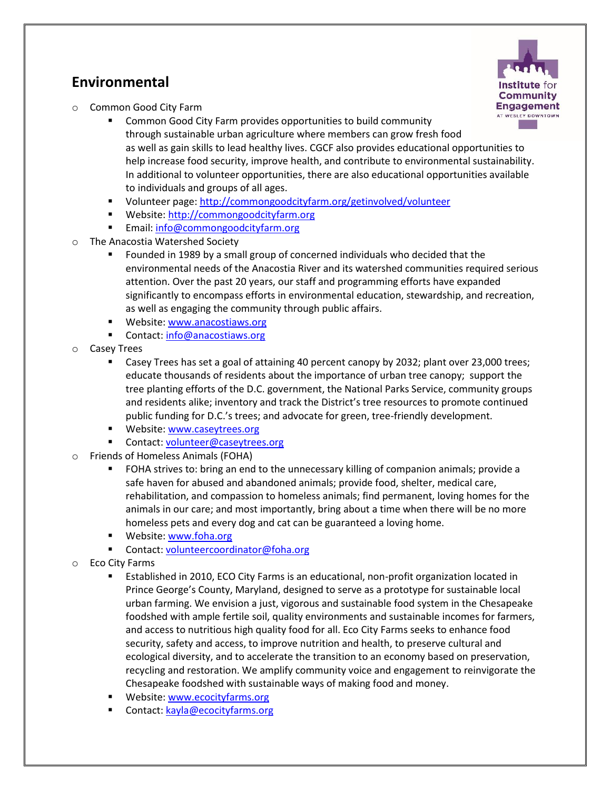## **Environmental**



- o Common Good City Farm
	- Common Good City Farm provides opportunities to build community through sustainable urban agriculture where members can grow fresh food as well as gain skills to lead healthy lives. CGCF also provides educational opportunities to help increase food security, improve health, and contribute to environmental sustainability. In additional to volunteer opportunities, there are also educational opportunities available to individuals and groups of all ages.
	- Volunteer page:<http://commongoodcityfarm.org/getinvolved/volunteer>
	- Website[: http://commongoodcityfarm.org](http://commongoodcityfarm.org/)
	- **Email: [info@commongoodcityfarm.org](mailto:info@commongoodcityfarm.org)**
- o The Anacostia Watershed Society
	- Founded in 1989 by a small group of concerned individuals who decided that the environmental needs of the Anacostia River and its watershed communities required serious attention. Over the past 20 years, our staff and programming efforts have expanded significantly to encompass efforts in environmental education, stewardship, and recreation, as well as engaging the community through public affairs.
	- **Website:** www.anacostiaws.org
	- Contact: [info@anacostiaws.org](mailto:info@anacostiaws.org)
- o Casey Trees
	- Casey Trees has set a goal of attaining 40 percent canopy by 2032; plant over 23,000 trees; educate thousands of residents about the importance of urban tree canopy; support the tree planting efforts of the D.C. government, the National Parks Service, community groups and residents alike; inventory and track the District's tree resources to promote continued public funding for D.C.'s trees; and advocate for green, tree-friendly development.
	- **Website[: www.caseytrees.org](http://www.caseytrees.org/)**
	- Contact: [volunteer@caseytrees.org](mailto:volunteer@caseytrees.org)
- o Friends of Homeless Animals (FOHA)
	- FOHA strives to: bring an end to the unnecessary killing of companion animals; provide a safe haven for abused and abandoned animals; provide food, shelter, medical care, rehabilitation, and compassion to homeless animals; find permanent, loving homes for the animals in our care; and most importantly, bring about a time when there will be no more homeless pets and every dog and cat can be guaranteed a loving home.
	- **Website[: www.foha.org](http://www.foha.org/)**
	- Contact: [volunteercoordinator@foha.org](mailto:volunteercoordinator@foha.org)
- **Eco City Farms** 
	- Established in 2010, ECO City Farms is an educational, non-profit organization located in Prince George's County, Maryland, designed to serve as a prototype for sustainable local urban farming. We envision a just, vigorous and sustainable food system in the Chesapeake foodshed with ample fertile soil, quality environments and sustainable incomes for farmers, and access to nutritious high quality food for all. Eco City Farms seeks to enhance food security, safety and access, to improve nutrition and health, to preserve cultural and ecological diversity, and to accelerate the transition to an economy based on preservation, recycling and restoration. We amplify community voice and engagement to reinvigorate the Chesapeake foodshed with sustainable ways of making food and money.
	- Website[: www.ecocityfarms.org](http://www.ecocityfarms.org/)
	- Contact: [kayla@ecocityfarms.org](mailto:kayla@ecocityfarms.org)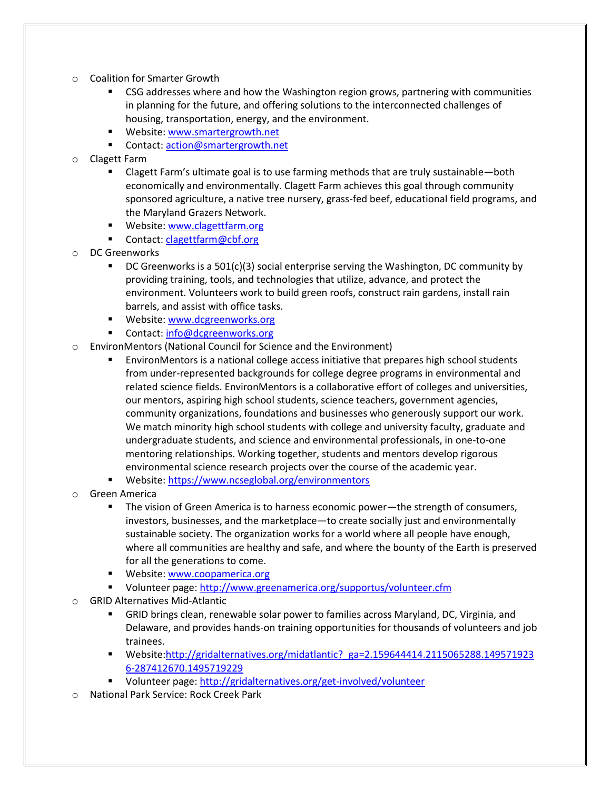- o Coalition for Smarter Growth
	- **EXTED 20 FOG ADDERS 20 FOGGIOU FOGGIOUS 20 FOGGIOUS 20 FOGGIOUS 20 FOGGIOUS 20 FOGGIOUS 20 FOGGIOUS 20 FOGGIOUS** in planning for the future, and offering solutions to the interconnected challenges of housing, transportation, energy, and the environment.
	- **Website[: www.smartergrowth.net](http://www.smartergrowth.net/)**
	- Contact: [action@smartergrowth.net](mailto:action@smartergrowth.net)
- o Clagett Farm
	- Clagett Farm's ultimate goal is to use farming methods that are truly sustainable—both economically and environmentally. Clagett Farm achieves this goal through community sponsored agriculture, a native tree nursery, grass-fed beef, educational field programs, and the Maryland Grazers Network.
	- **Website[: www.clagettfarm.org](http://www.clagettfarm.org/)**
	- Contact: [clagettfarm@cbf.org](mailto:clagettfarm@cbf.org)
- o DC Greenworks
	- DC Greenworks is a 501(c)(3) social enterprise serving the Washington, DC community by providing training, tools, and technologies that utilize, advance, and protect the environment. Volunteers work to build green roofs, construct rain gardens, install rain barrels, and assist with office tasks.
	- **Website[: www.dcgreenworks.org](http://www.dcgreenworks.org/)**
	- Contact: [info@dcgreenworks.org](mailto:info@dcgreenworks.org)
- o EnvironMentors (National Council for Science and the Environment)
	- EnvironMentors is a national college access initiative that prepares high school students from under-represented backgrounds for college degree programs in environmental and related science fields. EnvironMentors is a collaborative effort of colleges and universities, our mentors, aspiring high school students, science teachers, government agencies, community organizations, foundations and businesses who generously support our work. We match minority high school students with college and university faculty, graduate and undergraduate students, and science and environmental professionals, in one-to-one mentoring relationships. Working together, students and mentors develop rigorous environmental science research projects over the course of the academic year.
	- Website[: https://www.ncseglobal.org/environmentors](https://www.ncseglobal.org/environmentors)
- o Green America
	- The vision of Green America is to harness economic power—the strength of consumers, investors, businesses, and the marketplace—to create socially just and environmentally sustainable society. The organization works for a world where all people have enough, where all communities are healthy and safe, and where the bounty of the Earth is preserved for all the generations to come.
	- **Website:** www.coopamerica.org
	- Volunteer page:<http://www.greenamerica.org/supportus/volunteer.cfm>
- o GRID Alternatives Mid-Atlantic
	- GRID brings clean, renewable solar power to families across Maryland, DC, Virginia, and Delaware, and provides hands-on training opportunities for thousands of volunteers and job trainees.
	- Website[:http://gridalternatives.org/midatlantic?\\_ga=2.159644414.2115065288.149571923](http://gridalternatives.org/midatlantic?_ga=2.159644414.2115065288.1495719236-287412670.1495719229) [6-287412670.1495719229](http://gridalternatives.org/midatlantic?_ga=2.159644414.2115065288.1495719236-287412670.1495719229)
	- Volunteer page:<http://gridalternatives.org/get-involved/volunteer>
- o National Park Service: Rock Creek Park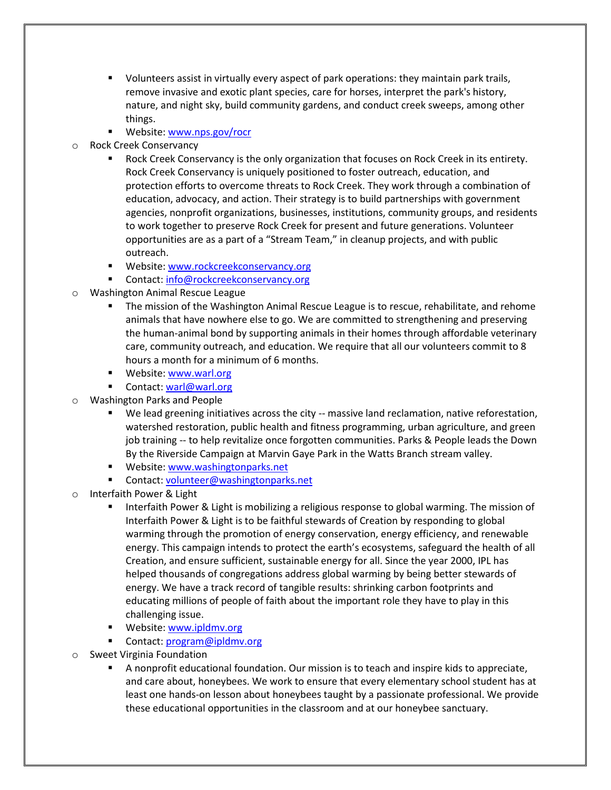- Volunteers assist in virtually every aspect of park operations: they maintain park trails, remove invasive and exotic plant species, care for horses, interpret the park's history, nature, and night sky, build community gardens, and conduct creek sweeps, among other things.
- **Website[: www.nps.gov/rocr](http://www.nps.gov/rocr)**
- o Rock Creek Conservancy
	- Rock Creek Conservancy is the only organization that focuses on Rock Creek in its entirety. Rock Creek Conservancy is uniquely positioned to foster outreach, education, and protection efforts to overcome threats to Rock Creek. They work through a combination of education, advocacy, and action. Their strategy is to build partnerships with government agencies, nonprofit organizations, businesses, institutions, community groups, and residents to work together to preserve Rock Creek for present and future generations. Volunteer opportunities are as a part of a "Stream Team," in cleanup projects, and with public outreach.
	- **Website[: www.rockcreekconservancy.org](http://www.rockcreekconservancy.org/)**
	- Contact: [info@rockcreekconservancy.org](mailto:info@rockcreekconservancy.org)
- o Washington Animal Rescue League
	- The mission of the Washington Animal Rescue League is to rescue, rehabilitate, and rehome animals that have nowhere else to go. We are committed to strengthening and preserving the human-animal bond by supporting animals in their homes through affordable veterinary care, community outreach, and education. We require that all our volunteers commit to 8 hours a month for a minimum of 6 months.
	- **Website[: www.warl.org](http://www.warl.org/)**
	- Contact: [warl@warl.org](mailto:warl@warl.org)
- o Washington Parks and People
	- We lead greening initiatives across the city -- massive land reclamation, native reforestation, watershed restoration, public health and fitness programming, urban agriculture, and green job training -- to help revitalize once forgotten communities. Parks & People leads the Down By the Riverside Campaign at Marvin Gaye Park in the Watts Branch stream valley.
	- **Website[: www.washingtonparks.net](http://www.washingtonparks.net/)**
	- Contact: [volunteer@washingtonparks.net](mailto:volunteer@washingtonparks.net)
- o Interfaith Power & Light
	- **If Luma** Interfaith Power & Light is mobilizing a religious response to global warming. The mission of Interfaith Power & Light is to be faithful stewards of Creation by responding to global warming through the promotion of energy conservation, energy efficiency, and renewable energy. This campaign intends to protect the earth's ecosystems, safeguard the health of all Creation, and ensure sufficient, sustainable energy for all. Since the year 2000, IPL has helped thousands of congregations address global warming by being better stewards of energy. We have a track record of tangible results: shrinking carbon footprints and educating millions of people of faith about the important role they have to play in this challenging issue.
	- **Website:** www.ipldmv.org
	- Contact: [program@ipldmv.org](mailto:program@ipldmv.org)
- o Sweet Virginia Foundation
	- A nonprofit educational foundation. Our mission is to teach and inspire kids to appreciate, and care about, honeybees. We work to ensure that every elementary school student has at least one hands-on lesson about honeybees taught by a passionate professional. We provide these educational opportunities in the classroom and at our honeybee sanctuary.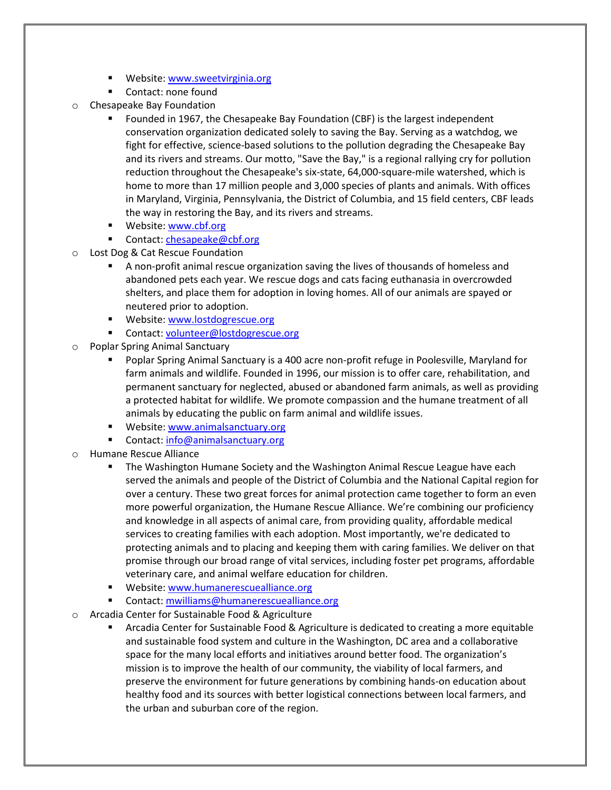- **Website[: www.sweetvirginia.org](http://www.sweetvirginia.org/)**
- Contact: none found
- o Chesapeake Bay Foundation
	- Founded in 1967, the Chesapeake Bay Foundation (CBF) is the largest independent conservation organization dedicated solely to saving the Bay. Serving as a watchdog, we fight for effective, science-based solutions to the pollution degrading the Chesapeake Bay and its rivers and streams. Our motto, "Save the Bay," is a regional rallying cry for pollution reduction throughout the Chesapeake's six-state, 64,000-square-mile watershed, which is home to more than 17 million people and 3,000 species of plants and animals. With offices in Maryland, Virginia, Pennsylvania, the District of Columbia, and 15 field centers, CBF leads the way in restoring the Bay, and its rivers and streams.
	- Website[: www.cbf.org](http://www.cbf.org/)
	- Contact: [chesapeake@cbf.org](mailto:chesapeake@cbf.org)
- o Lost Dog & Cat Rescue Foundation
	- A non-profit animal rescue organization saving the lives of thousands of homeless and abandoned pets each year. We rescue dogs and cats facing euthanasia in overcrowded shelters, and place them for adoption in loving homes. All of our animals are spayed or neutered prior to adoption.
	- **Website[: www.lostdogrescue.org](http://www.lostdogrescue.org/)**
	- Contact: [volunteer@lostdogrescue.org](mailto:volunteer@lostdogrescue.org)
- Poplar Spring Animal Sanctuary
	- Poplar Spring Animal Sanctuary is a 400 acre non-profit refuge in Poolesville, Maryland for farm animals and wildlife. Founded in 1996, our mission is to offer care, rehabilitation, and permanent sanctuary for neglected, abused or abandoned farm animals, as well as providing a protected habitat for wildlife. We promote compassion and the humane treatment of all animals by educating the public on farm animal and wildlife issues.
	- **Website[: www.animalsanctuary.org](http://www.animalsanctuary.org/)**
	- Contact: [info@animalsanctuary.org](mailto:info@animalsanctuary.org)
- o Humane Rescue Alliance
	- The Washington Humane Society and the Washington Animal Rescue League have each served the animals and people of the District of Columbia and the National Capital region for over a century. These two great forces for animal protection came together to form an even more powerful organization, the Humane Rescue Alliance. We're combining our proficiency and knowledge in all aspects of animal care, from providing quality, affordable medical services to creating families with each adoption. Most importantly, we're dedicated to protecting animals and to placing and keeping them with caring families. We deliver on that promise through our broad range of vital services, including foster pet programs, affordable veterinary care, and animal welfare education for children.
	- **Website[: www.humanerescuealliance.org](http://www.humanerescuealliance.org/)**
	- Contact: [mwilliams@humanerescuealliance.org](mailto:mwilliams@humanerescuealliance.org)
- o Arcadia Center for Sustainable Food & Agriculture
	- Arcadia Center for Sustainable Food & Agriculture is dedicated to creating a more equitable and sustainable food system and culture in the Washington, DC area and a collaborative space for the many local efforts and initiatives around better food. The organization's mission is to improve the health of our community, the viability of local farmers, and preserve the environment for future generations by combining hands-on education about healthy food and its sources with better logistical connections between local farmers, and the urban and suburban core of the region.